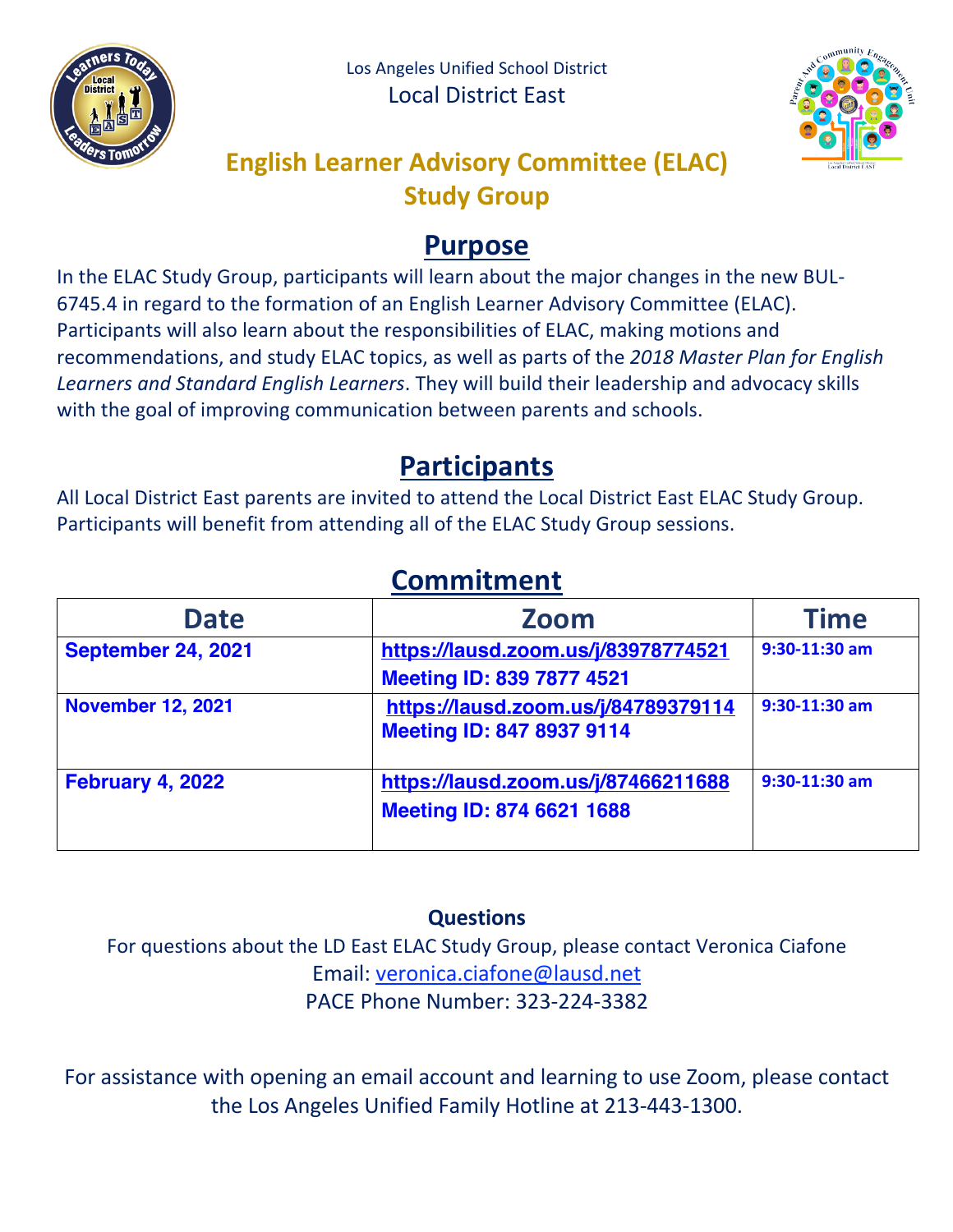



## **English Learner Advisory Committee (ELAC) Study Group**

## **Purpose**

In the ELAC Study Group, participants will learn about the major changes in the new BUL-6745.4 in regard to the formation of an English Learner Advisory Committee (ELAC). Participants will also learn about the responsibilities of ELAC, making motions and recommendations, and study ELAC topics, as well as parts of the *2018 Master Plan for English Learners and Standard English Learners*. They will build their leadership and advocacy skills with the goal of improving communication between parents and schools.

## **Participants**

All Local District East parents are invited to attend the Local District East ELAC Study Group. Participants will benefit from attending all of the ELAC Study Group sessions.

| <u>Communement</u>        |                                                                         |                 |  |
|---------------------------|-------------------------------------------------------------------------|-----------------|--|
| <b>Date</b>               | <b>Zoom</b>                                                             | <b>Time</b>     |  |
| <b>September 24, 2021</b> | https://lausd.zoom.us/j/83978774521<br><b>Meeting ID: 839 7877 4521</b> | $9:30-11:30$ am |  |
| <b>November 12, 2021</b>  | https://lausd.zoom.us/j/84789379114<br><b>Meeting ID: 847 8937 9114</b> | $9:30-11:30$ am |  |
| <b>February 4, 2022</b>   | https://lausd.zoom.us/j/87466211688<br>Meeting ID: 874 6621 1688        | $9:30-11:30$ am |  |

# **Commitment**

### **Questions**

For questions about the LD East ELAC Study Group, please contact Veronica Ciafone Email: veronica.ciafone@lausd.net PACE Phone Number: 323-224-3382

For assistance with opening an email account and learning to use Zoom, please contact the Los Angeles Unified Family Hotline at 213-443-1300.